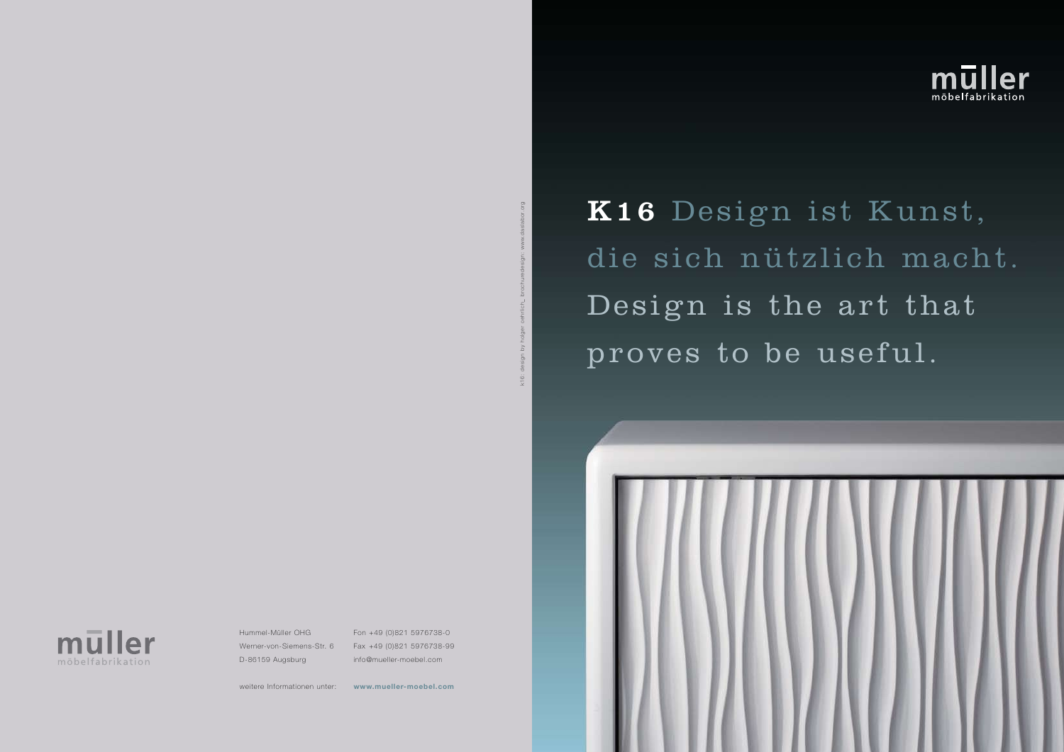K16 Design ist Kunst, die sich nützlich macht. Design is the art that proves to be useful.



Hummel-Müller OHG Werner-von-Siemens-Str. 6 D-86159 Augsburg

## k16: design by holger oehrlich\_ brochuredesign: www.daslabor.orgvq ubis k16:

weitere Informationen unter: **www.mueller-moebel.com**



Fon +49 (0)821 5976738-0 Fax +49 (0)821 5976738-99 info@mueller-moebel.com

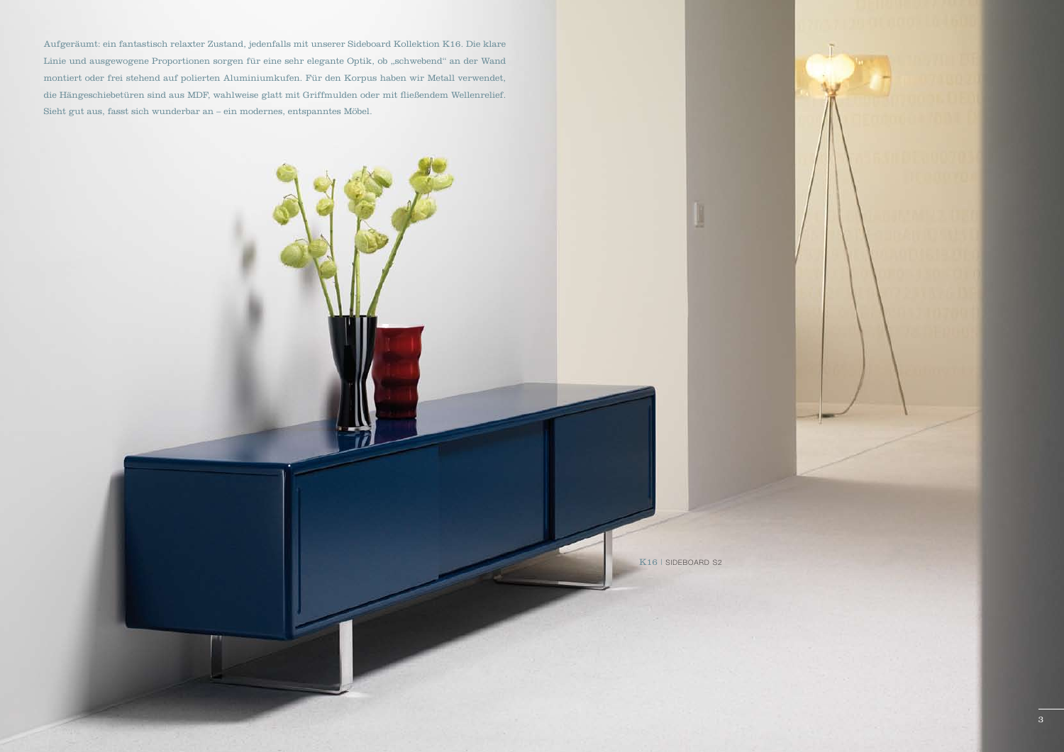Aufgeräumt: ein fantastisch relaxter Zustand, jedenfalls mit unserer Sideboard Kollektion K16. Die klare Linie und ausgewogene Proportionen sorgen für eine sehr elegante Optik, ob "schwebend" an der Wand montiert oder frei stehend auf polierten Aluminiumkufen. Für den Korpus haben wir Metall verwendet, die Hängeschiebetüren sind aus MDF, wahlweise glatt mit Griffmulden oder mit fließendem Wellenrelief. Sieht gut aus, fasst sich wunderbar an – ein modernes, entspanntes Möbel.

K<sub>16</sub> | SIDEBOARD S<sub>2</sub>

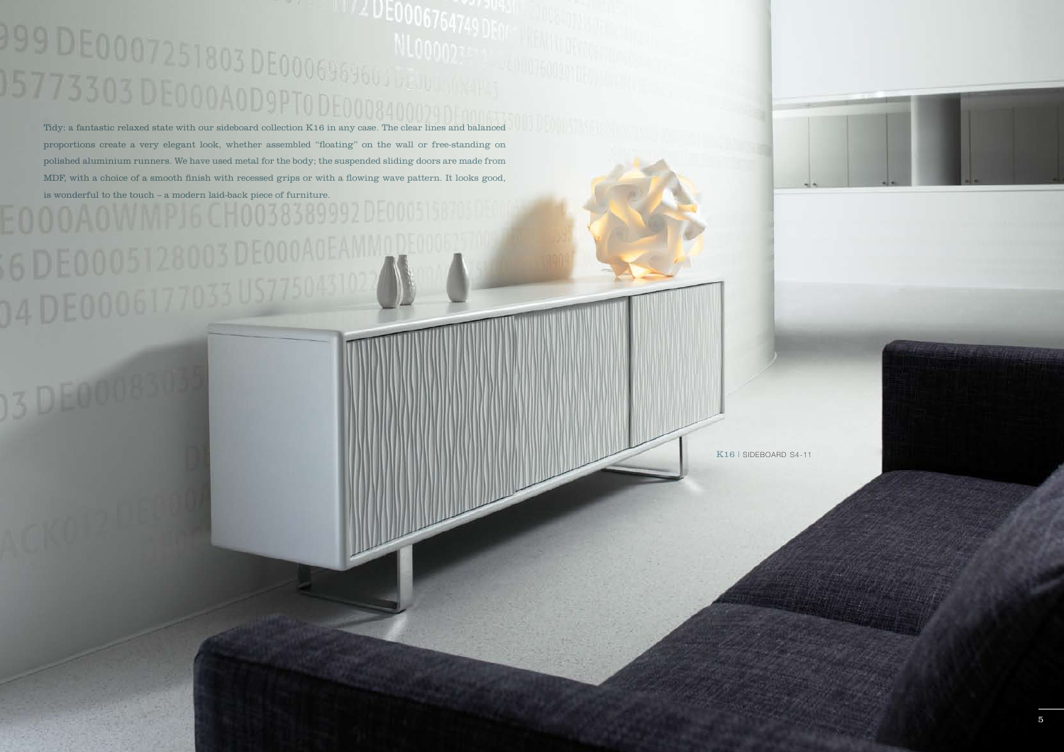## NL00002TE Tidy: a fantastic relaxed state with our sideboard collection K16 in any case. The clear lines and balanced

proportions create a very elegant look, whether assembled "floating" on the wall or free-standing on polished aluminium runners. We have used metal for the body; the suspended sliding doors are made from MDF, with a choice of a smooth finish with recessed grips or with a flowing wave pattern. It looks good, is wonderful to the touch – a modern laid-back piece of furniture.



K16 | SIDEBOARD S4-11